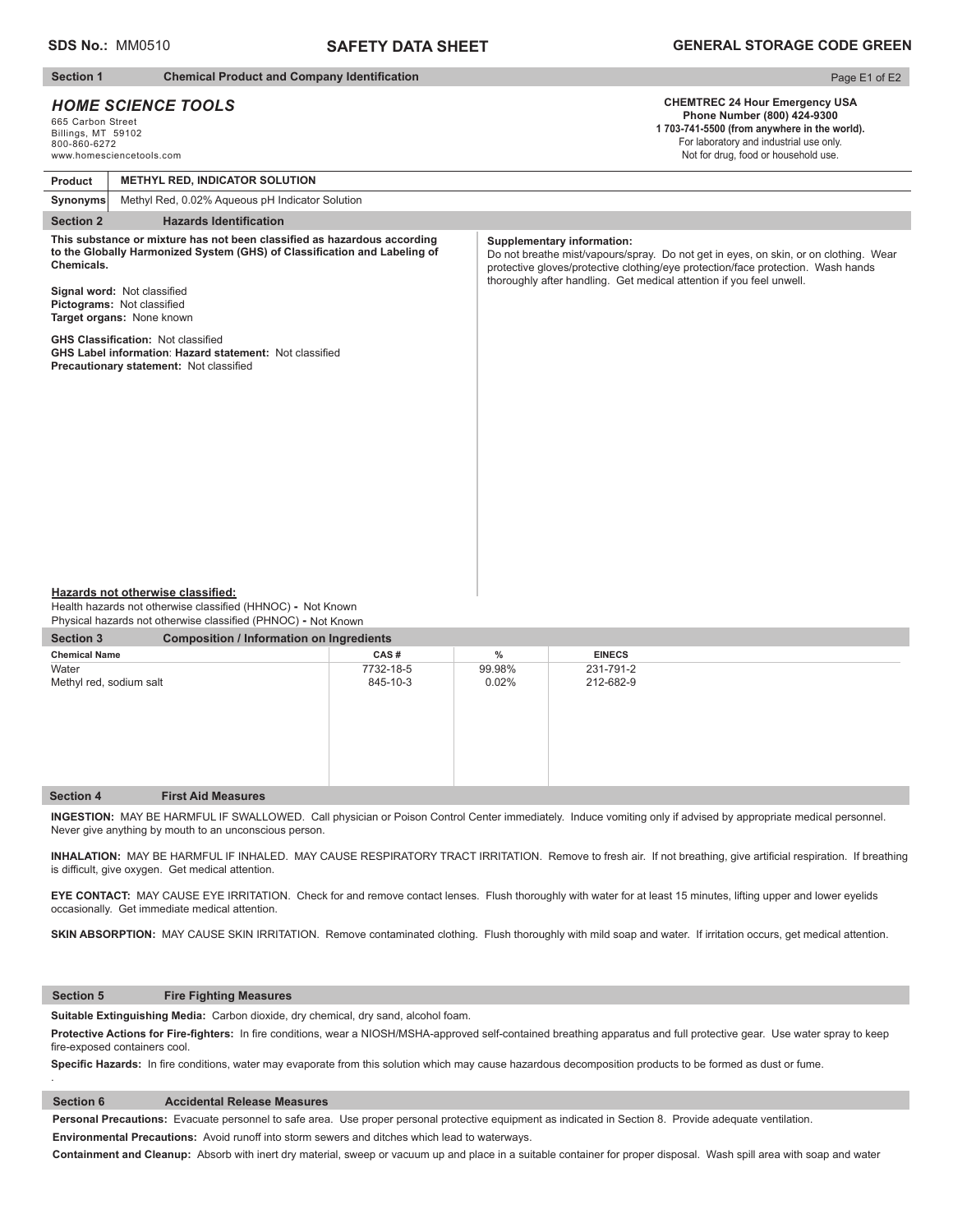# **SAFETY DATA SHEET**

## **Section 1** Chemical Product and Company Identification

## *HOME SCIENCE TOOLS*

665 Carbon Street Billings, MT 59102 800-860-6272 www.homesciencetools.com

# Page E1 of E2

**CHEMTREC 24 Hour Emergency USA Phone Number (800) 424-9300 1 703-741-5500 (from anywhere in the world).** For laboratory and industrial use only.

Not for drug, food or household use.

| Product                                                                                                                                                                                                                                                                                                                                                                                                                 | <b>METHYL RED, INDICATOR SOLUTION</b>           |                                                                                                                                                                                                                                                                                       |
|-------------------------------------------------------------------------------------------------------------------------------------------------------------------------------------------------------------------------------------------------------------------------------------------------------------------------------------------------------------------------------------------------------------------------|-------------------------------------------------|---------------------------------------------------------------------------------------------------------------------------------------------------------------------------------------------------------------------------------------------------------------------------------------|
| Synonyms                                                                                                                                                                                                                                                                                                                                                                                                                | Methyl Red, 0.02% Aqueous pH Indicator Solution |                                                                                                                                                                                                                                                                                       |
| <b>Section 2</b>                                                                                                                                                                                                                                                                                                                                                                                                        | <b>Hazards Identification</b>                   |                                                                                                                                                                                                                                                                                       |
| This substance or mixture has not been classified as hazardous according<br>to the Globally Harmonized System (GHS) of Classification and Labeling of<br>Chemicals.<br>Signal word: Not classified<br>Pictograms: Not classified<br>Target organs: None known<br><b>GHS Classification: Not classified</b><br><b>GHS Label information: Hazard statement: Not classified</b><br>Precautionary statement: Not classified |                                                 | <b>Supplementary information:</b><br>Do not breathe mist/vapours/spray. Do not get in eyes, on skin, or on clothing. Wear<br>protective gloves/protective clothing/eye protection/face protection. Wash hands<br>thoroughly after handling. Get medical attention if you feel unwell. |
|                                                                                                                                                                                                                                                                                                                                                                                                                         |                                                 |                                                                                                                                                                                                                                                                                       |

#### **Hazards not otherwise classified:**

Health hazards not otherwise classified (HHNOC) - Not Known Physical hazards not otherwise classified (PHNOC) **-** Not Known

| <b>Section 3</b><br><b>Composition / Information on Ingredients</b> |                           |           |        |               |  |  |
|---------------------------------------------------------------------|---------------------------|-----------|--------|---------------|--|--|
| <b>Chemical Name</b>                                                |                           | CAS#      | $\%$   | <b>EINECS</b> |  |  |
| Water                                                               |                           | 7732-18-5 | 99.98% | 231-791-2     |  |  |
| Methyl red, sodium salt                                             |                           | 845-10-3  | 0.02%  | 212-682-9     |  |  |
|                                                                     |                           |           |        |               |  |  |
|                                                                     |                           |           |        |               |  |  |
|                                                                     |                           |           |        |               |  |  |
|                                                                     |                           |           |        |               |  |  |
|                                                                     |                           |           |        |               |  |  |
|                                                                     |                           |           |        |               |  |  |
|                                                                     |                           |           |        |               |  |  |
| <b>Section 4</b>                                                    | <b>First Aid Measures</b> |           |        |               |  |  |

**INGESTION:** MAY BE HARMFUL IF SWALLOWED. Call physician or Poison Control Center immediately. Induce vomiting only if advised by appropriate medical personnel. Never give anything by mouth to an unconscious person.

INHALATION: MAY BE HARMFUL IF INHALED. MAY CAUSE RESPIRATORY TRACT IRRITATION. Remove to fresh air. If not breathing, give artificial respiration. If breathing is difficult, give oxygen. Get medical attention.

**EYE CONTACT:** MAY CAUSE EYE IRRITATION. Check for and remove contact lenses. Flush thoroughly with water for at least 15 minutes, lifting upper and lower eyelids occasionally. Get immediate medical attention.

SKIN ABSORPTION: MAY CAUSE SKIN IRRITATION. Remove contaminated clothing. Flush thoroughly with mild soap and water. If irritation occurs, get medical attention.

## **Section 5 Fire Fighting Measures**

.

**Suitable Extinguishing Media:** Carbon dioxide, dry chemical, dry sand, alcohol foam.

Protective Actions for Fire-fighters: In fire conditions, wear a NIOSH/MSHA-approved self-contained breathing apparatus and full protective gear. Use water spray to keep fire-exposed containers cool.

Specific Hazards: In fire conditions, water may evaporate from this solution which may cause hazardous decomposition products to be formed as dust or fume.

## **Section 6 Accidental Release Measures**

**Personal Precautions:** Evacuate personnel to safe area. Use proper personal protective equipment as indicated in Section 8. Provide adequate ventilation. **Environmental Precautions:** Avoid runoff into storm sewers and ditches which lead to waterways.

**Containment and Cleanup:** Absorb with inert dry material, sweep or vacuum up and place in a suitable container for proper disposal. Wash spill area with soap and water